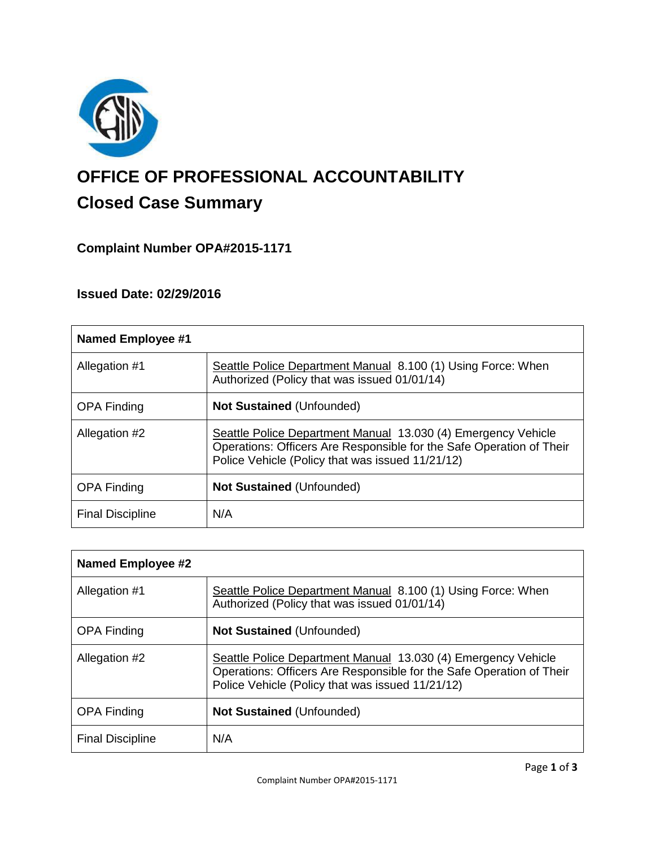

# **OFFICE OF PROFESSIONAL ACCOUNTABILITY Closed Case Summary**

## **Complaint Number OPA#2015-1171**

### **Issued Date: 02/29/2016**

| <b>Named Employee #1</b> |                                                                                                                                                                                           |
|--------------------------|-------------------------------------------------------------------------------------------------------------------------------------------------------------------------------------------|
| Allegation #1            | Seattle Police Department Manual 8.100 (1) Using Force: When<br>Authorized (Policy that was issued 01/01/14)                                                                              |
| <b>OPA Finding</b>       | <b>Not Sustained (Unfounded)</b>                                                                                                                                                          |
| Allegation #2            | Seattle Police Department Manual 13.030 (4) Emergency Vehicle<br>Operations: Officers Are Responsible for the Safe Operation of Their<br>Police Vehicle (Policy that was issued 11/21/12) |
| <b>OPA Finding</b>       | <b>Not Sustained (Unfounded)</b>                                                                                                                                                          |
| <b>Final Discipline</b>  | N/A                                                                                                                                                                                       |

| Named Employee #2       |                                                                                                                                                                                           |
|-------------------------|-------------------------------------------------------------------------------------------------------------------------------------------------------------------------------------------|
| Allegation #1           | Seattle Police Department Manual 8.100 (1) Using Force: When<br>Authorized (Policy that was issued 01/01/14)                                                                              |
| <b>OPA Finding</b>      | <b>Not Sustained (Unfounded)</b>                                                                                                                                                          |
| Allegation #2           | Seattle Police Department Manual 13.030 (4) Emergency Vehicle<br>Operations: Officers Are Responsible for the Safe Operation of Their<br>Police Vehicle (Policy that was issued 11/21/12) |
| <b>OPA Finding</b>      | <b>Not Sustained (Unfounded)</b>                                                                                                                                                          |
| <b>Final Discipline</b> | N/A                                                                                                                                                                                       |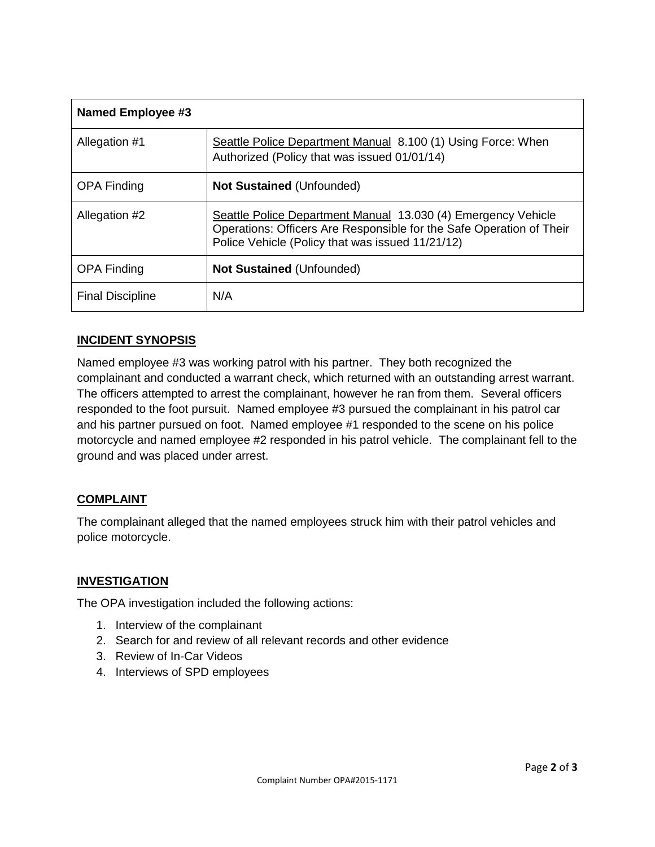| <b>Named Employee #3</b> |                                                                                                                                                                                           |
|--------------------------|-------------------------------------------------------------------------------------------------------------------------------------------------------------------------------------------|
| Allegation #1            | Seattle Police Department Manual 8.100 (1) Using Force: When<br>Authorized (Policy that was issued 01/01/14)                                                                              |
| <b>OPA Finding</b>       | <b>Not Sustained (Unfounded)</b>                                                                                                                                                          |
| Allegation #2            | Seattle Police Department Manual 13.030 (4) Emergency Vehicle<br>Operations: Officers Are Responsible for the Safe Operation of Their<br>Police Vehicle (Policy that was issued 11/21/12) |
| <b>OPA Finding</b>       | <b>Not Sustained (Unfounded)</b>                                                                                                                                                          |
| <b>Final Discipline</b>  | N/A                                                                                                                                                                                       |

### **INCIDENT SYNOPSIS**

Named employee #3 was working patrol with his partner. They both recognized the complainant and conducted a warrant check, which returned with an outstanding arrest warrant. The officers attempted to arrest the complainant, however he ran from them. Several officers responded to the foot pursuit. Named employee #3 pursued the complainant in his patrol car and his partner pursued on foot. Named employee #1 responded to the scene on his police motorcycle and named employee #2 responded in his patrol vehicle. The complainant fell to the ground and was placed under arrest.

#### **COMPLAINT**

The complainant alleged that the named employees struck him with their patrol vehicles and police motorcycle.

#### **INVESTIGATION**

The OPA investigation included the following actions:

- 1. Interview of the complainant
- 2. Search for and review of all relevant records and other evidence
- 3. Review of In-Car Videos
- 4. Interviews of SPD employees